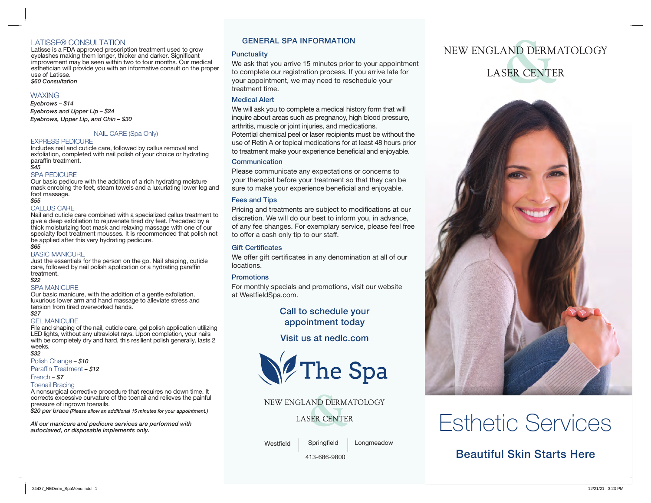#### LATISSE® CONSULTATION

Latisse is a FDA approved prescription treatment used to grow eyelashes making them longer, thicker and darker. Significant improvement may be seen within two to four months. Our medical esthetician will provide you with an informative consult on the proper use of Latisse. *\$60 Consultation* 

#### **WAXING**

*Eyebrows – \$14 Eyebrows and Upper Lip – \$24 Eyebrows, Upper Lip, and Chin – \$30*

#### NAIL CARE (Spa Only)

#### EXPRESS PEDICURE

Includes nail and cuticle care, followed by callus removal and exfoliation, completed with nail polish of your choice or hydrating paraffin treatment. *\$45*

#### SPA PEDICURE

Our basic pedicure with the addition of a rich hydrating moisture mask enrobing the feet, steam towels and a luxuriating lower leg and foot massage. *\$55*

#### CALLUS CARE

Nail and cuticle care combined with a specialized callus treatment to give a deep exfoliation to rejuvenate tired dry feet. Preceded by a thick moisturizing foot mask and relaxing massage with one of our specialty foot treatment mousses. It is recommended that polish not be applied after this very hydrating pedicure.

#### *\$65*

#### BASIC MANICURE

Just the essentials for the person on the go. Nail shaping, cuticle care, followed by nail polish application or a hydrating paraffin treatment.

#### *\$22*

#### SPA MANICURE

Our basic manicure, with the addition of a gentle exfoliation, luxurious lower arm and hand massage to alleviate stress and tension from tired overworked hands.

#### *\$27*

GEL MANICURE

File and shaping of the nail, cuticle care, gel polish application utilizing LED lights, without any ultraviolet rays. Upon completion, your nails with be completely dry and hard, this resilient polish generally, lasts 2 weeks. *\$32*

Polish Change *– \$10* 

Paraffin Treatment *– \$12* 

### French *– \$7*

Toenail Bracing A nonsurgical corrective procedure that requires no down time. It corrects excessive curvature of the toenail and relieves the painful pressure of ingrown toenails.

*\$20 per brace (Please allow an additional 15 minutes for your appointment.)*

*All our manicure and pedicure services are performed with autoclaved, or disposable implements only.*

#### GENERAL SPA INFORMATION

#### **Punctuality**

We ask that you arrive 15 minutes prior to your appointment to complete our registration process. If you arrive late for your appointment, we may need to reschedule your treatment time.

#### Medical Alert

We will ask you to complete a medical history form that will inquire about areas such as pregnancy, high blood pressure, arthritis, muscle or joint injuries, and medications. Potential chemical peel or laser recipients must be without the use of Retin A or topical medications for at least 48 hours prior to treatment make your experience beneficial and enjoyable.

#### **Communication**

Please communicate any expectations or concerns to your therapist before your treatment so that they can be sure to make your experience beneficial and enjoyable.

#### Fees and Tips

Pricing and treatments are subject to modifications at our discretion. We will do our best to inform you, in advance, of any fee changes. For exemplary service, please feel free to offer a cash only tip to our staff.

#### Gift Certificates

We offer gift certificates in any denomination at all of our locations.

#### **Promotions**

For monthly specials and promotions, visit our website at WestfieldSpa.com.

> Call to schedule your appointment today

Visit us at nedlc.com



NEW ENGLAND DERMATOLOGY **LASER CENTER** 

Westfield

**Springfield** Longmeadow

413-686-9800

# NEW ENGLAND DERMATOLOGY **LASER CENTER**



# Esthetic Services

## Beautiful Skin Starts Here

24437\_NEDerm\_SpaMenu.indd 1 12/21/21 3:23 PM